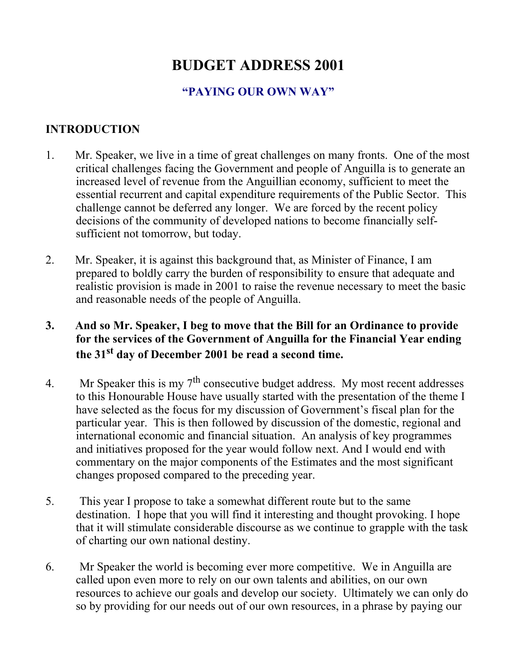# **BUDGET ADDRESS 2001**

#### **"PAYING OUR OWN WAY"**

#### **INTRODUCTION**

- 1. Mr. Speaker, we live in a time of great challenges on many fronts. One of the most critical challenges facing the Government and people of Anguilla is to generate an increased level of revenue from the Anguillian economy, sufficient to meet the essential recurrent and capital expenditure requirements of the Public Sector. This challenge cannot be deferred any longer. We are forced by the recent policy decisions of the community of developed nations to become financially selfsufficient not tomorrow, but today.
- 2. Mr. Speaker, it is against this background that, as Minister of Finance, I am prepared to boldly carry the burden of responsibility to ensure that adequate and realistic provision is made in 2001 to raise the revenue necessary to meet the basic and reasonable needs of the people of Anguilla.

### **3. And so Mr. Speaker, I beg to move that the Bill for an Ordinance to provide for the services of the Government of Anguilla for the Financial Year ending the 31st day of December 2001 be read a second time.**

- 4. Mr Speaker this is my  $7<sup>th</sup>$  consecutive budget address. My most recent addresses to this Honourable House have usually started with the presentation of the theme I have selected as the focus for my discussion of Government's fiscal plan for the particular year. This is then followed by discussion of the domestic, regional and international economic and financial situation. An analysis of key programmes and initiatives proposed for the year would follow next. And I would end with commentary on the major components of the Estimates and the most significant changes proposed compared to the preceding year.
- 5. This year I propose to take a somewhat different route but to the same destination. I hope that you will find it interesting and thought provoking. I hope that it will stimulate considerable discourse as we continue to grapple with the task of charting our own national destiny.
- 6. Mr Speaker the world is becoming ever more competitive. We in Anguilla are called upon even more to rely on our own talents and abilities, on our own resources to achieve our goals and develop our society. Ultimately we can only do so by providing for our needs out of our own resources, in a phrase by paying our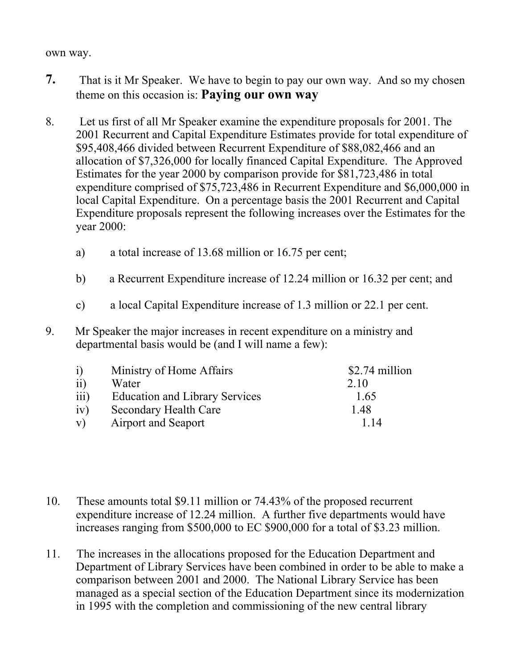#### own way.

- **7.** That is it Mr Speaker. We have to begin to pay our own way. And so my chosen theme on this occasion is: **Paying our own way**
- 8. Let us first of all Mr Speaker examine the expenditure proposals for 2001. The 2001 Recurrent and Capital Expenditure Estimates provide for total expenditure of \$95,408,466 divided between Recurrent Expenditure of \$88,082,466 and an allocation of \$7,326,000 for locally financed Capital Expenditure. The Approved Estimates for the year 2000 by comparison provide for \$81,723,486 in total expenditure comprised of \$75,723,486 in Recurrent Expenditure and \$6,000,000 in local Capital Expenditure. On a percentage basis the 2001 Recurrent and Capital Expenditure proposals represent the following increases over the Estimates for the year 2000:
	- a) a total increase of 13.68 million or 16.75 per cent;
	- b) a Recurrent Expenditure increase of 12.24 million or 16.32 per cent; and
	- c) a local Capital Expenditure increase of 1.3 million or 22.1 per cent.
- 9. Mr Speaker the major increases in recent expenditure on a ministry and departmental basis would be (and I will name a few):

| $\ddot{1}$       | Ministry of Home Affairs              | \$2.74 million |
|------------------|---------------------------------------|----------------|
| $\overline{11}$  | Water                                 | 2.10           |
| $\overline{111}$ | <b>Education and Library Services</b> | 1.65           |
| iv)              | <b>Secondary Health Care</b>          | 1.48           |
| V)               | <b>Airport and Seaport</b>            | 1 14           |

- 10. These amounts total \$9.11 million or 74.43% of the proposed recurrent expenditure increase of 12.24 million. A further five departments would have increases ranging from \$500,000 to EC \$900,000 for a total of \$3.23 million.
- 11. The increases in the allocations proposed for the Education Department and Department of Library Services have been combined in order to be able to make a comparison between 2001 and 2000. The National Library Service has been managed as a special section of the Education Department since its modernization in 1995 with the completion and commissioning of the new central library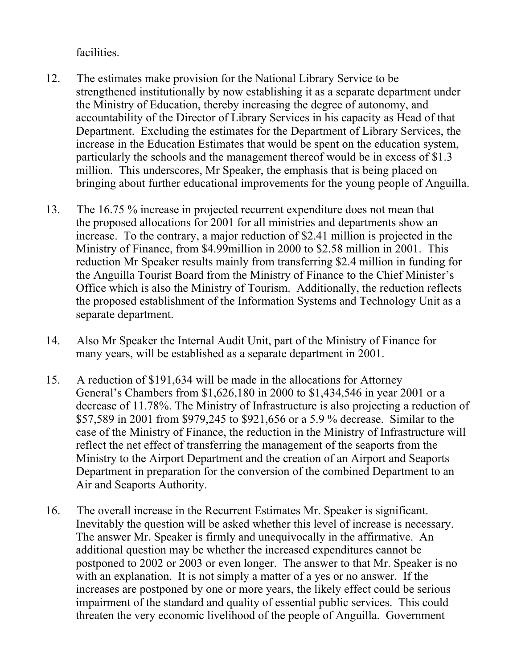facilities.

- 12. The estimates make provision for the National Library Service to be strengthened institutionally by now establishing it as a separate department under the Ministry of Education, thereby increasing the degree of autonomy, and accountability of the Director of Library Services in his capacity as Head of that Department. Excluding the estimates for the Department of Library Services, the increase in the Education Estimates that would be spent on the education system, particularly the schools and the management thereof would be in excess of \$1.3 million. This underscores, Mr Speaker, the emphasis that is being placed on bringing about further educational improvements for the young people of Anguilla.
- 13. The 16.75 % increase in projected recurrent expenditure does not mean that the proposed allocations for 2001 for all ministries and departments show an increase. To the contrary, a major reduction of \$2.41 million is projected in the Ministry of Finance, from \$4.99million in 2000 to \$2.58 million in 2001. This reduction Mr Speaker results mainly from transferring \$2.4 million in funding for the Anguilla Tourist Board from the Ministry of Finance to the Chief Minister's Office which is also the Ministry of Tourism. Additionally, the reduction reflects the proposed establishment of the Information Systems and Technology Unit as a separate department.
- 14. Also Mr Speaker the Internal Audit Unit, part of the Ministry of Finance for many years, will be established as a separate department in 2001.
- 15. A reduction of \$191,634 will be made in the allocations for Attorney General's Chambers from \$1,626,180 in 2000 to \$1,434,546 in year 2001 or a decrease of 11.78%. The Ministry of Infrastructure is also projecting a reduction of \$57,589 in 2001 from \$979,245 to \$921,656 or a 5.9 % decrease. Similar to the case of the Ministry of Finance, the reduction in the Ministry of Infrastructure will reflect the net effect of transferring the management of the seaports from the Ministry to the Airport Department and the creation of an Airport and Seaports Department in preparation for the conversion of the combined Department to an Air and Seaports Authority.
- 16. The overall increase in the Recurrent Estimates Mr. Speaker is significant. Inevitably the question will be asked whether this level of increase is necessary. The answer Mr. Speaker is firmly and unequivocally in the affirmative. An additional question may be whether the increased expenditures cannot be postponed to 2002 or 2003 or even longer. The answer to that Mr. Speaker is no with an explanation. It is not simply a matter of a yes or no answer. If the increases are postponed by one or more years, the likely effect could be serious impairment of the standard and quality of essential public services. This could threaten the very economic livelihood of the people of Anguilla. Government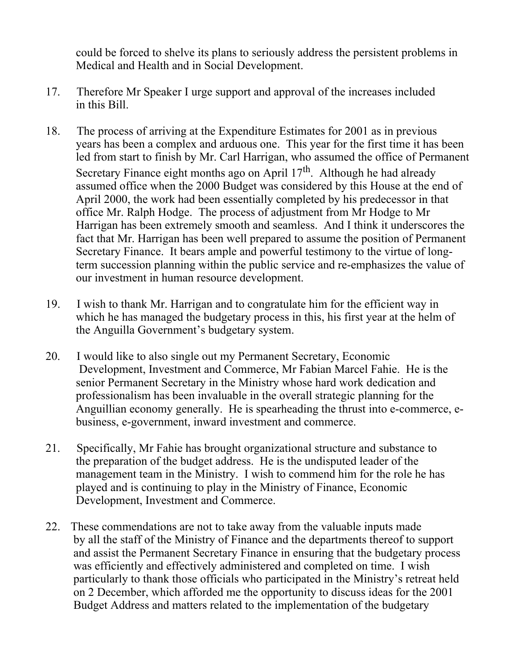could be forced to shelve its plans to seriously address the persistent problems in Medical and Health and in Social Development.

- 17. Therefore Mr Speaker I urge support and approval of the increases included in this Bill.
- 18. The process of arriving at the Expenditure Estimates for 2001 as in previous years has been a complex and arduous one. This year for the first time it has been led from start to finish by Mr. Carl Harrigan, who assumed the office of Permanent Secretary Finance eight months ago on April  $17<sup>th</sup>$ . Although he had already assumed office when the 2000 Budget was considered by this House at the end of April 2000, the work had been essentially completed by his predecessor in that office Mr. Ralph Hodge. The process of adjustment from Mr Hodge to Mr Harrigan has been extremely smooth and seamless. And I think it underscores the fact that Mr. Harrigan has been well prepared to assume the position of Permanent Secretary Finance. It bears ample and powerful testimony to the virtue of longterm succession planning within the public service and re-emphasizes the value of our investment in human resource development.
- 19. I wish to thank Mr. Harrigan and to congratulate him for the efficient way in which he has managed the budgetary process in this, his first year at the helm of the Anguilla Government's budgetary system.
- 20. I would like to also single out my Permanent Secretary, Economic Development, Investment and Commerce, Mr Fabian Marcel Fahie. He is the senior Permanent Secretary in the Ministry whose hard work dedication and professionalism has been invaluable in the overall strategic planning for the Anguillian economy generally. He is spearheading the thrust into e-commerce, ebusiness, e-government, inward investment and commerce.
- 21. Specifically, Mr Fahie has brought organizational structure and substance to the preparation of the budget address. He is the undisputed leader of the management team in the Ministry. I wish to commend him for the role he has played and is continuing to play in the Ministry of Finance, Economic Development, Investment and Commerce.
- 22. These commendations are not to take away from the valuable inputs made by all the staff of the Ministry of Finance and the departments thereof to support and assist the Permanent Secretary Finance in ensuring that the budgetary process was efficiently and effectively administered and completed on time. I wish particularly to thank those officials who participated in the Ministry's retreat held on 2 December, which afforded me the opportunity to discuss ideas for the 2001 Budget Address and matters related to the implementation of the budgetary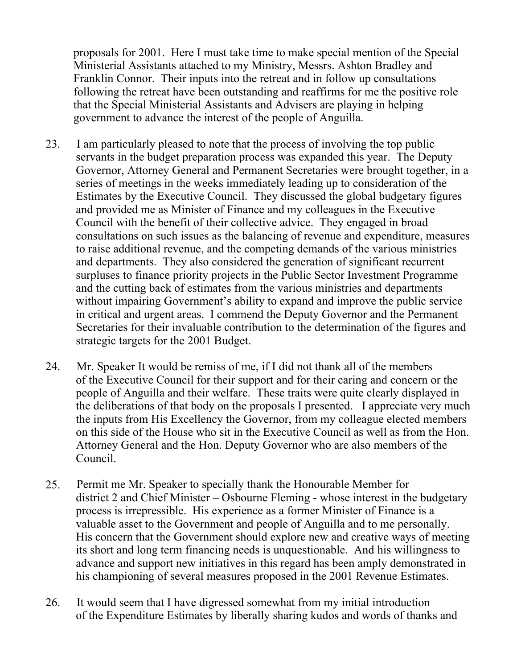proposals for 2001. Here I must take time to make special mention of the Special Ministerial Assistants attached to my Ministry, Messrs. Ashton Bradley and Franklin Connor. Their inputs into the retreat and in follow up consultations following the retreat have been outstanding and reaffirms for me the positive role that the Special Ministerial Assistants and Advisers are playing in helping government to advance the interest of the people of Anguilla.

- 23. I am particularly pleased to note that the process of involving the top public servants in the budget preparation process was expanded this year. The Deputy Governor, Attorney General and Permanent Secretaries were brought together, in a series of meetings in the weeks immediately leading up to consideration of the Estimates by the Executive Council. They discussed the global budgetary figures and provided me as Minister of Finance and my colleagues in the Executive Council with the benefit of their collective advice. They engaged in broad consultations on such issues as the balancing of revenue and expenditure, measures to raise additional revenue, and the competing demands of the various ministries and departments. They also considered the generation of significant recurrent surpluses to finance priority projects in the Public Sector Investment Programme and the cutting back of estimates from the various ministries and departments without impairing Government's ability to expand and improve the public service in critical and urgent areas. I commend the Deputy Governor and the Permanent Secretaries for their invaluable contribution to the determination of the figures and strategic targets for the 2001 Budget.
- 24. Mr. Speaker It would be remiss of me, if I did not thank all of the members of the Executive Council for their support and for their caring and concern or the people of Anguilla and their welfare. These traits were quite clearly displayed in the deliberations of that body on the proposals I presented. I appreciate very much the inputs from His Excellency the Governor, from my colleague elected members on this side of the House who sit in the Executive Council as well as from the Hon. Attorney General and the Hon. Deputy Governor who are also members of the Council.
- 25. Permit me Mr. Speaker to specially thank the Honourable Member for district 2 and Chief Minister – Osbourne Fleming - whose interest in the budgetary process is irrepressible. His experience as a former Minister of Finance is a valuable asset to the Government and people of Anguilla and to me personally. His concern that the Government should explore new and creative ways of meeting its short and long term financing needs is unquestionable. And his willingness to advance and support new initiatives in this regard has been amply demonstrated in his championing of several measures proposed in the 2001 Revenue Estimates.
- 26. It would seem that I have digressed somewhat from my initial introduction of the Expenditure Estimates by liberally sharing kudos and words of thanks and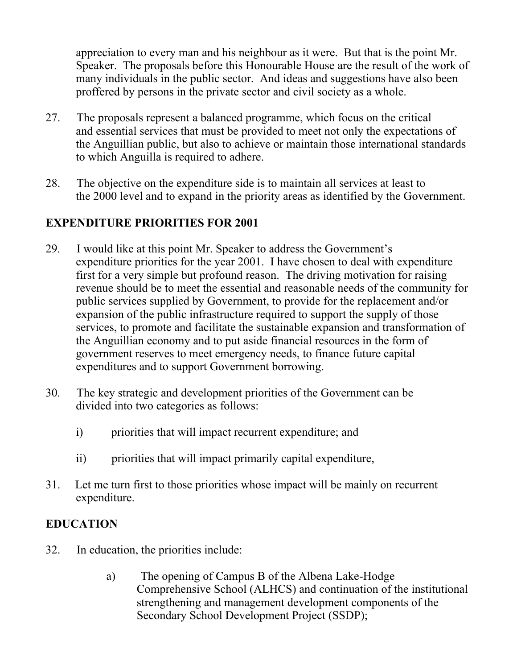appreciation to every man and his neighbour as it were. But that is the point Mr. Speaker. The proposals before this Honourable House are the result of the work of many individuals in the public sector. And ideas and suggestions have also been proffered by persons in the private sector and civil society as a whole.

- 27. The proposals represent a balanced programme, which focus on the critical and essential services that must be provided to meet not only the expectations of the Anguillian public, but also to achieve or maintain those international standards to which Anguilla is required to adhere.
- 28. The objective on the expenditure side is to maintain all services at least to the 2000 level and to expand in the priority areas as identified by the Government.

### **EXPENDITURE PRIORITIES FOR 2001**

- 29. I would like at this point Mr. Speaker to address the Government's expenditure priorities for the year 2001. I have chosen to deal with expenditure first for a very simple but profound reason. The driving motivation for raising revenue should be to meet the essential and reasonable needs of the community for public services supplied by Government, to provide for the replacement and/or expansion of the public infrastructure required to support the supply of those services, to promote and facilitate the sustainable expansion and transformation of the Anguillian economy and to put aside financial resources in the form of government reserves to meet emergency needs, to finance future capital expenditures and to support Government borrowing.
- 30. The key strategic and development priorities of the Government can be divided into two categories as follows:
	- i) priorities that will impact recurrent expenditure; and
	- ii) priorities that will impact primarily capital expenditure,
- 31. Let me turn first to those priorities whose impact will be mainly on recurrent expenditure.

### **EDUCATION**

- 32. In education, the priorities include:
	- a) The opening of Campus B of the Albena Lake-Hodge Comprehensive School (ALHCS) and continuation of the institutional strengthening and management development components of the Secondary School Development Project (SSDP);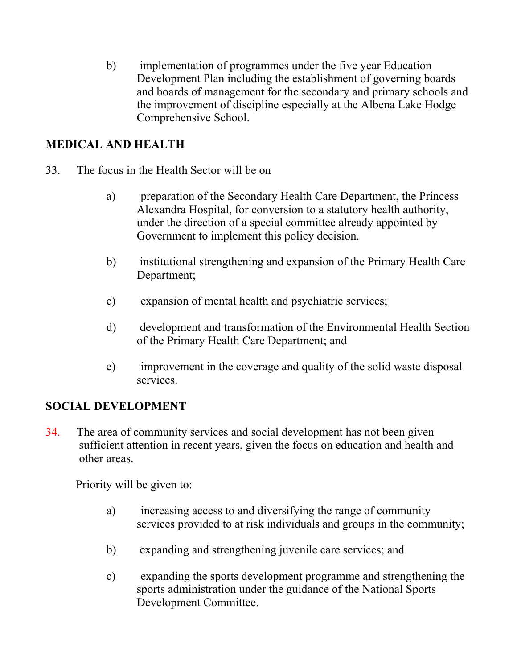b) implementation of programmes under the five year Education Development Plan including the establishment of governing boards and boards of management for the secondary and primary schools and the improvement of discipline especially at the Albena Lake Hodge Comprehensive School.

#### **MEDICAL AND HEALTH**

- 33. The focus in the Health Sector will be on
	- a) preparation of the Secondary Health Care Department, the Princess Alexandra Hospital, for conversion to a statutory health authority, under the direction of a special committee already appointed by Government to implement this policy decision.
	- b) institutional strengthening and expansion of the Primary Health Care Department;
	- c) expansion of mental health and psychiatric services;
	- d) development and transformation of the Environmental Health Section of the Primary Health Care Department; and
	- e) improvement in the coverage and quality of the solid waste disposal services.

#### **SOCIAL DEVELOPMENT**

34. The area of community services and social development has not been given sufficient attention in recent years, given the focus on education and health and other areas.

Priority will be given to:

- a) increasing access to and diversifying the range of community services provided to at risk individuals and groups in the community;
- b) expanding and strengthening juvenile care services; and
- c) expanding the sports development programme and strengthening the sports administration under the guidance of the National Sports Development Committee.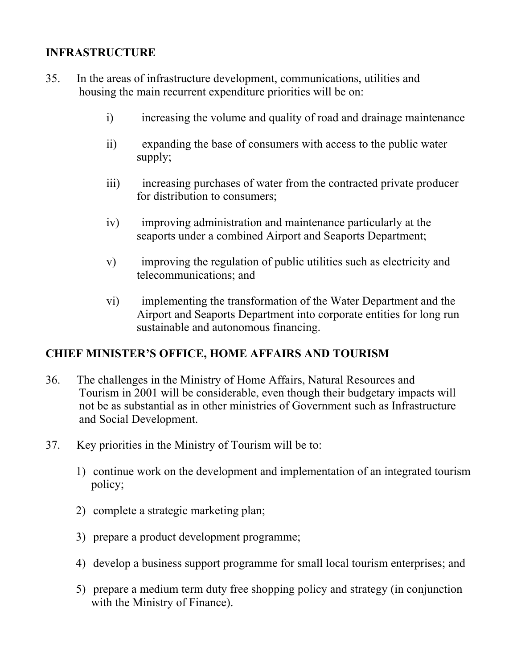### **INFRASTRUCTURE**

- 35. In the areas of infrastructure development, communications, utilities and housing the main recurrent expenditure priorities will be on:
	- i) increasing the volume and quality of road and drainage maintenance
	- ii) expanding the base of consumers with access to the public water supply;
	- iii) increasing purchases of water from the contracted private producer for distribution to consumers;
	- iv) improving administration and maintenance particularly at the seaports under a combined Airport and Seaports Department;
	- v) improving the regulation of public utilities such as electricity and telecommunications; and
	- vi) implementing the transformation of the Water Department and the Airport and Seaports Department into corporate entities for long run sustainable and autonomous financing.

#### **CHIEF MINISTER'S OFFICE, HOME AFFAIRS AND TOURISM**

- 36. The challenges in the Ministry of Home Affairs, Natural Resources and Tourism in 2001 will be considerable, even though their budgetary impacts will not be as substantial as in other ministries of Government such as Infrastructure and Social Development.
- 37. Key priorities in the Ministry of Tourism will be to:
	- 1) continue work on the development and implementation of an integrated tourism policy;
	- 2) complete a strategic marketing plan;
	- 3) prepare a product development programme;
	- 4) develop a business support programme for small local tourism enterprises; and
	- 5) prepare a medium term duty free shopping policy and strategy (in conjunction with the Ministry of Finance).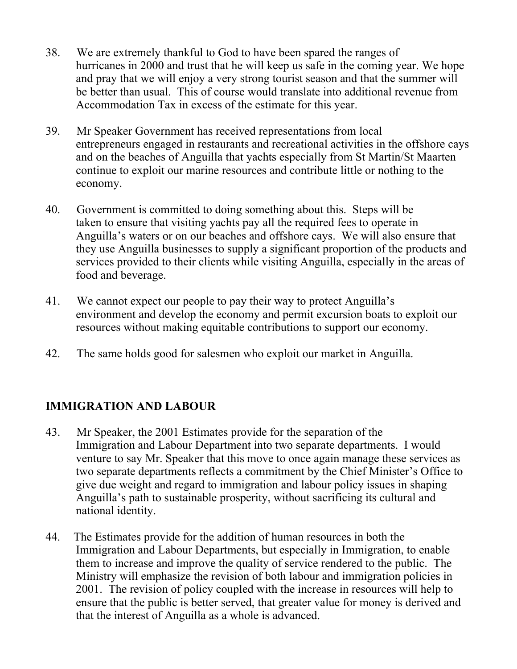- 38. We are extremely thankful to God to have been spared the ranges of hurricanes in 2000 and trust that he will keep us safe in the coming year. We hope and pray that we will enjoy a very strong tourist season and that the summer will be better than usual. This of course would translate into additional revenue from Accommodation Tax in excess of the estimate for this year.
- 39. Mr Speaker Government has received representations from local entrepreneurs engaged in restaurants and recreational activities in the offshore cays and on the beaches of Anguilla that yachts especially from St Martin/St Maarten continue to exploit our marine resources and contribute little or nothing to the economy.
- 40. Government is committed to doing something about this. Steps will be taken to ensure that visiting yachts pay all the required fees to operate in Anguilla's waters or on our beaches and offshore cays. We will also ensure that they use Anguilla businesses to supply a significant proportion of the products and services provided to their clients while visiting Anguilla, especially in the areas of food and beverage.
- 41. We cannot expect our people to pay their way to protect Anguilla's environment and develop the economy and permit excursion boats to exploit our resources without making equitable contributions to support our economy.
- 42. The same holds good for salesmen who exploit our market in Anguilla.

### **IMMIGRATION AND LABOUR**

- 43. Mr Speaker, the 2001 Estimates provide for the separation of the Immigration and Labour Department into two separate departments. I would venture to say Mr. Speaker that this move to once again manage these services as two separate departments reflects a commitment by the Chief Minister's Office to give due weight and regard to immigration and labour policy issues in shaping Anguilla's path to sustainable prosperity, without sacrificing its cultural and national identity.
- 44. The Estimates provide for the addition of human resources in both the Immigration and Labour Departments, but especially in Immigration, to enable them to increase and improve the quality of service rendered to the public. The Ministry will emphasize the revision of both labour and immigration policies in 2001. The revision of policy coupled with the increase in resources will help to ensure that the public is better served, that greater value for money is derived and that the interest of Anguilla as a whole is advanced.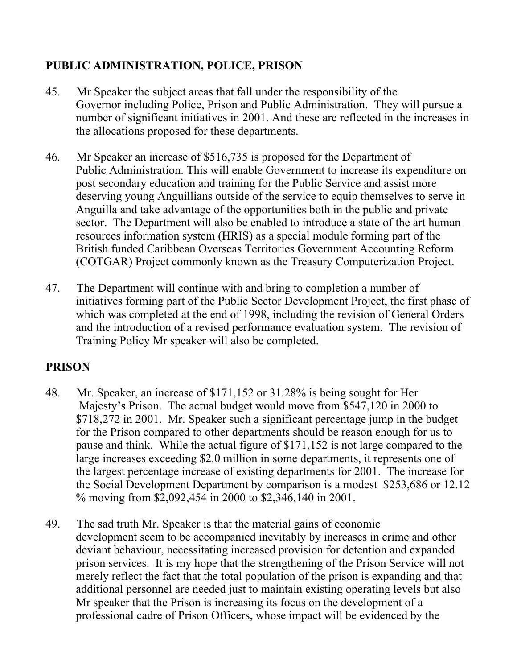### **PUBLIC ADMINISTRATION, POLICE, PRISON**

- 45. Mr Speaker the subject areas that fall under the responsibility of the Governor including Police, Prison and Public Administration. They will pursue a number of significant initiatives in 2001. And these are reflected in the increases in the allocations proposed for these departments.
- 46. Mr Speaker an increase of \$516,735 is proposed for the Department of Public Administration. This will enable Government to increase its expenditure on post secondary education and training for the Public Service and assist more deserving young Anguillians outside of the service to equip themselves to serve in Anguilla and take advantage of the opportunities both in the public and private sector. The Department will also be enabled to introduce a state of the art human resources information system (HRIS) as a special module forming part of the British funded Caribbean Overseas Territories Government Accounting Reform (COTGAR) Project commonly known as the Treasury Computerization Project.
- 47. The Department will continue with and bring to completion a number of initiatives forming part of the Public Sector Development Project, the first phase of which was completed at the end of 1998, including the revision of General Orders and the introduction of a revised performance evaluation system. The revision of Training Policy Mr speaker will also be completed.

## **PRISON**

- 48. Mr. Speaker, an increase of \$171,152 or 31.28% is being sought for Her Majesty's Prison. The actual budget would move from \$547,120 in 2000 to \$718,272 in 2001. Mr. Speaker such a significant percentage jump in the budget for the Prison compared to other departments should be reason enough for us to pause and think. While the actual figure of \$171,152 is not large compared to the large increases exceeding \$2.0 million in some departments, it represents one of the largest percentage increase of existing departments for 2001. The increase for the Social Development Department by comparison is a modest \$253,686 or 12.12 % moving from \$2,092,454 in 2000 to \$2,346,140 in 2001.
- 49. The sad truth Mr. Speaker is that the material gains of economic development seem to be accompanied inevitably by increases in crime and other deviant behaviour, necessitating increased provision for detention and expanded prison services. It is my hope that the strengthening of the Prison Service will not merely reflect the fact that the total population of the prison is expanding and that additional personnel are needed just to maintain existing operating levels but also Mr speaker that the Prison is increasing its focus on the development of a professional cadre of Prison Officers, whose impact will be evidenced by the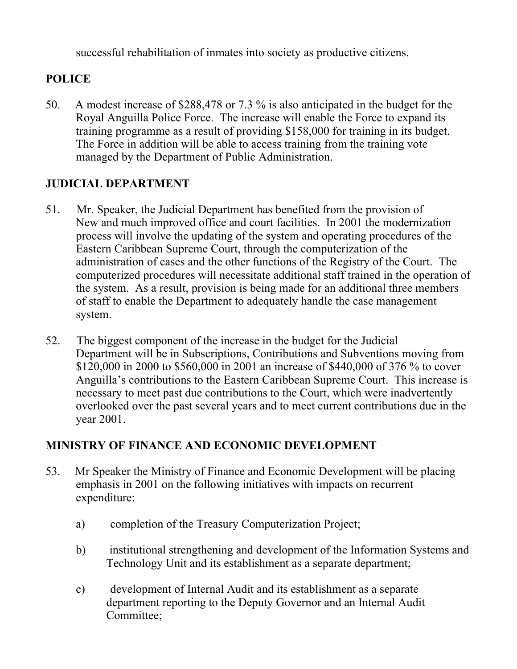successful rehabilitation of inmates into society as productive citizens.

### **POLICE**

50. A modest increase of \$288,478 or 7.3 % is also anticipated in the budget for the Royal Anguilla Police Force. The increase will enable the Force to expand its training programme as a result of providing \$158,000 for training in its budget. The Force in addition will be able to access training from the training vote managed by the Department of Public Administration.

### **JUDICIAL DEPARTMENT**

- 51. Mr. Speaker, the Judicial Department has benefited from the provision of New and much improved office and court facilities. In 2001 the modernization process will involve the updating of the system and operating procedures of the Eastern Caribbean Supreme Court, through the computerization of the administration of cases and the other functions of the Registry of the Court. The computerized procedures will necessitate additional staff trained in the operation of the system. As a result, provision is being made for an additional three members of staff to enable the Department to adequately handle the case management system.
- 52. The biggest component of the increase in the budget for the Judicial Department will be in Subscriptions, Contributions and Subventions moving from \$120,000 in 2000 to \$560,000 in 2001 an increase of \$440,000 of 376 % to cover Anguilla's contributions to the Eastern Caribbean Supreme Court. This increase is necessary to meet past due contributions to the Court, which were inadvertently overlooked over the past several years and to meet current contributions due in the year 2001.

## **MINISTRY OF FINANCE AND ECONOMIC DEVELOPMENT**

- 53. Mr Speaker the Ministry of Finance and Economic Development will be placing emphasis in 2001 on the following initiatives with impacts on recurrent expenditure:
	- a) completion of the Treasury Computerization Project;
	- b) institutional strengthening and development of the Information Systems and Technology Unit and its establishment as a separate department;
	- c) development of Internal Audit and its establishment as a separate department reporting to the Deputy Governor and an Internal Audit Committee;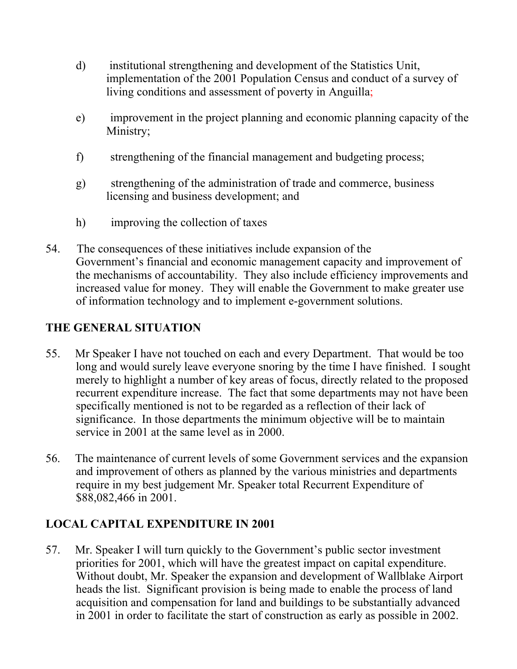- d) institutional strengthening and development of the Statistics Unit, implementation of the 2001 Population Census and conduct of a survey of living conditions and assessment of poverty in Anguilla;
- e) improvement in the project planning and economic planning capacity of the Ministry;
- f) strengthening of the financial management and budgeting process;
- g) strengthening of the administration of trade and commerce, business licensing and business development; and
- h) improving the collection of taxes
- 54. The consequences of these initiatives include expansion of the Government's financial and economic management capacity and improvement of the mechanisms of accountability. They also include efficiency improvements and increased value for money. They will enable the Government to make greater use of information technology and to implement e-government solutions.

### **THE GENERAL SITUATION**

- 55. Mr Speaker I have not touched on each and every Department. That would be too long and would surely leave everyone snoring by the time I have finished. I sought merely to highlight a number of key areas of focus, directly related to the proposed recurrent expenditure increase. The fact that some departments may not have been specifically mentioned is not to be regarded as a reflection of their lack of significance. In those departments the minimum objective will be to maintain service in 2001 at the same level as in 2000.
- 56. The maintenance of current levels of some Government services and the expansion and improvement of others as planned by the various ministries and departments require in my best judgement Mr. Speaker total Recurrent Expenditure of \$88,082,466 in 2001.

### **LOCAL CAPITAL EXPENDITURE IN 2001**

57. Mr. Speaker I will turn quickly to the Government's public sector investment priorities for 2001, which will have the greatest impact on capital expenditure. Without doubt, Mr. Speaker the expansion and development of Wallblake Airport heads the list. Significant provision is being made to enable the process of land acquisition and compensation for land and buildings to be substantially advanced in 2001 in order to facilitate the start of construction as early as possible in 2002.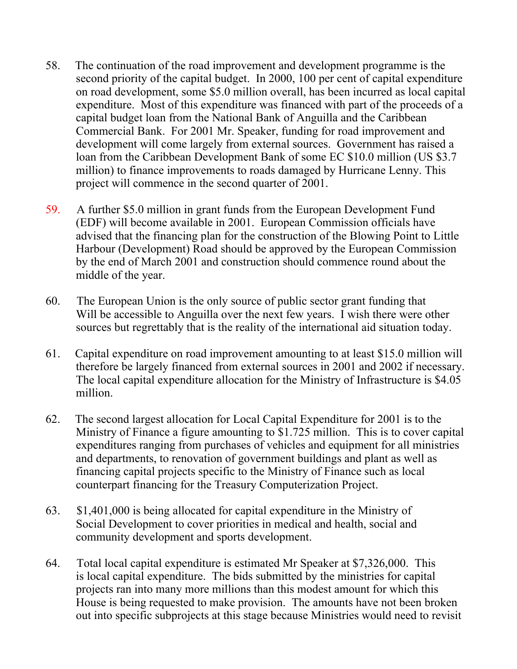- 58. The continuation of the road improvement and development programme is the second priority of the capital budget. In 2000, 100 per cent of capital expenditure on road development, some \$5.0 million overall, has been incurred as local capital expenditure. Most of this expenditure was financed with part of the proceeds of a capital budget loan from the National Bank of Anguilla and the Caribbean Commercial Bank. For 2001 Mr. Speaker, funding for road improvement and development will come largely from external sources. Government has raised a loan from the Caribbean Development Bank of some EC \$10.0 million (US \$3.7 million) to finance improvements to roads damaged by Hurricane Lenny. This project will commence in the second quarter of 2001.
- 59. A further \$5.0 million in grant funds from the European Development Fund (EDF) will become available in 2001. European Commission officials have advised that the financing plan for the construction of the Blowing Point to Little Harbour (Development) Road should be approved by the European Commission by the end of March 2001 and construction should commence round about the middle of the year.
- 60. The European Union is the only source of public sector grant funding that Will be accessible to Anguilla over the next few years. I wish there were other sources but regrettably that is the reality of the international aid situation today.
- 61. Capital expenditure on road improvement amounting to at least \$15.0 million will therefore be largely financed from external sources in 2001 and 2002 if necessary. The local capital expenditure allocation for the Ministry of Infrastructure is \$4.05 million.
- 62. The second largest allocation for Local Capital Expenditure for 2001 is to the Ministry of Finance a figure amounting to \$1.725 million. This is to cover capital expenditures ranging from purchases of vehicles and equipment for all ministries and departments, to renovation of government buildings and plant as well as financing capital projects specific to the Ministry of Finance such as local counterpart financing for the Treasury Computerization Project.
- 63. \$1,401,000 is being allocated for capital expenditure in the Ministry of Social Development to cover priorities in medical and health, social and community development and sports development.
- 64. Total local capital expenditure is estimated Mr Speaker at \$7,326,000. This is local capital expenditure. The bids submitted by the ministries for capital projects ran into many more millions than this modest amount for which this House is being requested to make provision. The amounts have not been broken out into specific subprojects at this stage because Ministries would need to revisit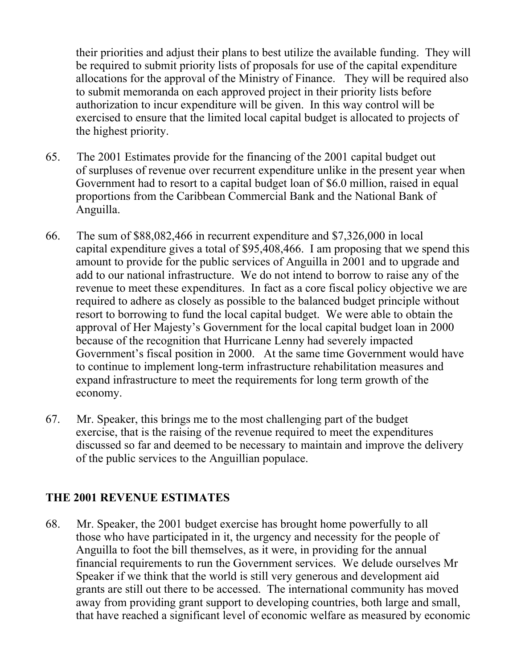their priorities and adjust their plans to best utilize the available funding. They will be required to submit priority lists of proposals for use of the capital expenditure allocations for the approval of the Ministry of Finance. They will be required also to submit memoranda on each approved project in their priority lists before authorization to incur expenditure will be given. In this way control will be exercised to ensure that the limited local capital budget is allocated to projects of the highest priority.

- 65. The 2001 Estimates provide for the financing of the 2001 capital budget out of surpluses of revenue over recurrent expenditure unlike in the present year when Government had to resort to a capital budget loan of \$6.0 million, raised in equal proportions from the Caribbean Commercial Bank and the National Bank of Anguilla.
- 66. The sum of \$88,082,466 in recurrent expenditure and \$7,326,000 in local capital expenditure gives a total of \$95,408,466. I am proposing that we spend this amount to provide for the public services of Anguilla in 2001 and to upgrade and add to our national infrastructure. We do not intend to borrow to raise any of the revenue to meet these expenditures. In fact as a core fiscal policy objective we are required to adhere as closely as possible to the balanced budget principle without resort to borrowing to fund the local capital budget. We were able to obtain the approval of Her Majesty's Government for the local capital budget loan in 2000 because of the recognition that Hurricane Lenny had severely impacted Government's fiscal position in 2000. At the same time Government would have to continue to implement long-term infrastructure rehabilitation measures and expand infrastructure to meet the requirements for long term growth of the economy.
- 67. Mr. Speaker, this brings me to the most challenging part of the budget exercise, that is the raising of the revenue required to meet the expenditures discussed so far and deemed to be necessary to maintain and improve the delivery of the public services to the Anguillian populace.

#### **THE 2001 REVENUE ESTIMATES**

68. Mr. Speaker, the 2001 budget exercise has brought home powerfully to all those who have participated in it, the urgency and necessity for the people of Anguilla to foot the bill themselves, as it were, in providing for the annual financial requirements to run the Government services. We delude ourselves Mr Speaker if we think that the world is still very generous and development aid grants are still out there to be accessed. The international community has moved away from providing grant support to developing countries, both large and small, that have reached a significant level of economic welfare as measured by economic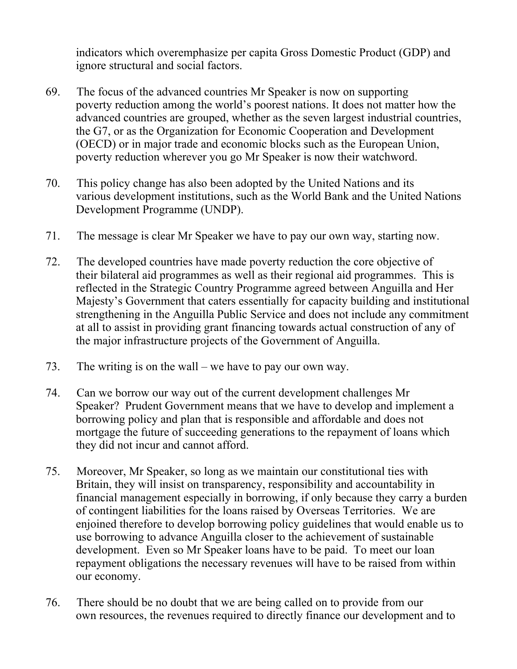indicators which overemphasize per capita Gross Domestic Product (GDP) and ignore structural and social factors.

- 69. The focus of the advanced countries Mr Speaker is now on supporting poverty reduction among the world's poorest nations. It does not matter how the advanced countries are grouped, whether as the seven largest industrial countries, the G7, or as the Organization for Economic Cooperation and Development (OECD) or in major trade and economic blocks such as the European Union, poverty reduction wherever you go Mr Speaker is now their watchword.
- 70. This policy change has also been adopted by the United Nations and its various development institutions, such as the World Bank and the United Nations Development Programme (UNDP).
- 71. The message is clear Mr Speaker we have to pay our own way, starting now.
- 72. The developed countries have made poverty reduction the core objective of their bilateral aid programmes as well as their regional aid programmes. This is reflected in the Strategic Country Programme agreed between Anguilla and Her Majesty's Government that caters essentially for capacity building and institutional strengthening in the Anguilla Public Service and does not include any commitment at all to assist in providing grant financing towards actual construction of any of the major infrastructure projects of the Government of Anguilla.
- 73. The writing is on the wall we have to pay our own way.
- 74. Can we borrow our way out of the current development challenges Mr Speaker? Prudent Government means that we have to develop and implement a borrowing policy and plan that is responsible and affordable and does not mortgage the future of succeeding generations to the repayment of loans which they did not incur and cannot afford.
- 75. Moreover, Mr Speaker, so long as we maintain our constitutional ties with Britain, they will insist on transparency, responsibility and accountability in financial management especially in borrowing, if only because they carry a burden of contingent liabilities for the loans raised by Overseas Territories. We are enjoined therefore to develop borrowing policy guidelines that would enable us to use borrowing to advance Anguilla closer to the achievement of sustainable development. Even so Mr Speaker loans have to be paid. To meet our loan repayment obligations the necessary revenues will have to be raised from within our economy.
- 76. There should be no doubt that we are being called on to provide from our own resources, the revenues required to directly finance our development and to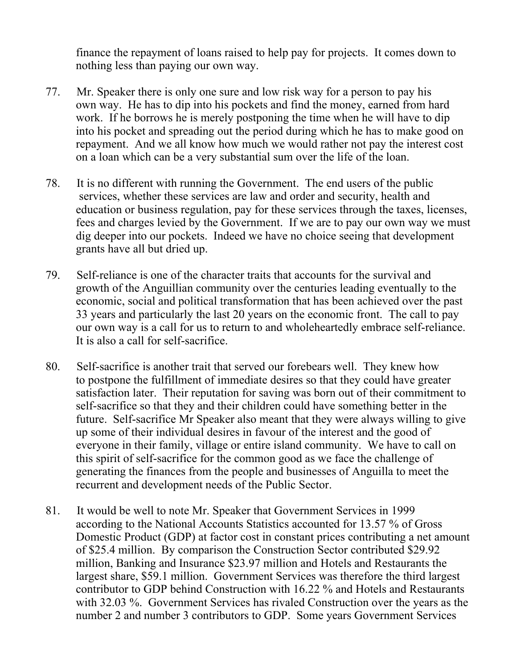finance the repayment of loans raised to help pay for projects. It comes down to nothing less than paying our own way.

- 77. Mr. Speaker there is only one sure and low risk way for a person to pay his own way. He has to dip into his pockets and find the money, earned from hard work. If he borrows he is merely postponing the time when he will have to dip into his pocket and spreading out the period during which he has to make good on repayment. And we all know how much we would rather not pay the interest cost on a loan which can be a very substantial sum over the life of the loan.
- 78. It is no different with running the Government. The end users of the public services, whether these services are law and order and security, health and education or business regulation, pay for these services through the taxes, licenses, fees and charges levied by the Government. If we are to pay our own way we must dig deeper into our pockets. Indeed we have no choice seeing that development grants have all but dried up.
- 79. Self-reliance is one of the character traits that accounts for the survival and growth of the Anguillian community over the centuries leading eventually to the economic, social and political transformation that has been achieved over the past 33 years and particularly the last 20 years on the economic front. The call to pay our own way is a call for us to return to and wholeheartedly embrace self-reliance. It is also a call for self-sacrifice.
- 80. Self-sacrifice is another trait that served our forebears well. They knew how to postpone the fulfillment of immediate desires so that they could have greater satisfaction later. Their reputation for saving was born out of their commitment to self-sacrifice so that they and their children could have something better in the future. Self-sacrifice Mr Speaker also meant that they were always willing to give up some of their individual desires in favour of the interest and the good of everyone in their family, village or entire island community. We have to call on this spirit of self-sacrifice for the common good as we face the challenge of generating the finances from the people and businesses of Anguilla to meet the recurrent and development needs of the Public Sector.
- 81. It would be well to note Mr. Speaker that Government Services in 1999 according to the National Accounts Statistics accounted for 13.57 % of Gross Domestic Product (GDP) at factor cost in constant prices contributing a net amount of \$25.4 million. By comparison the Construction Sector contributed \$29.92 million, Banking and Insurance \$23.97 million and Hotels and Restaurants the largest share, \$59.1 million. Government Services was therefore the third largest contributor to GDP behind Construction with 16.22 % and Hotels and Restaurants with 32.03 %. Government Services has rivaled Construction over the years as the number 2 and number 3 contributors to GDP. Some years Government Services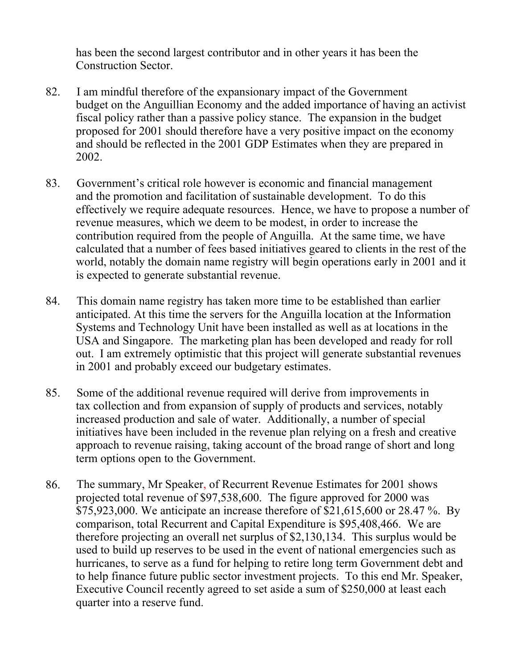has been the second largest contributor and in other years it has been the Construction Sector.

- 82. I am mindful therefore of the expansionary impact of the Government budget on the Anguillian Economy and the added importance of having an activist fiscal policy rather than a passive policy stance. The expansion in the budget proposed for 2001 should therefore have a very positive impact on the economy and should be reflected in the 2001 GDP Estimates when they are prepared in 2002.
- 83. Government's critical role however is economic and financial management and the promotion and facilitation of sustainable development. To do this effectively we require adequate resources. Hence, we have to propose a number of revenue measures, which we deem to be modest, in order to increase the contribution required from the people of Anguilla. At the same time, we have calculated that a number of fees based initiatives geared to clients in the rest of the world, notably the domain name registry will begin operations early in 2001 and it is expected to generate substantial revenue.
- 84. This domain name registry has taken more time to be established than earlier anticipated. At this time the servers for the Anguilla location at the Information Systems and Technology Unit have been installed as well as at locations in the USA and Singapore. The marketing plan has been developed and ready for roll out. I am extremely optimistic that this project will generate substantial revenues in 2001 and probably exceed our budgetary estimates.
- 85. Some of the additional revenue required will derive from improvements in tax collection and from expansion of supply of products and services, notably increased production and sale of water. Additionally, a number of special initiatives have been included in the revenue plan relying on a fresh and creative approach to revenue raising, taking account of the broad range of short and long term options open to the Government.
- 86. The summary, Mr Speaker, of Recurrent Revenue Estimates for 2001 shows projected total revenue of \$97,538,600. The figure approved for 2000 was \$75,923,000. We anticipate an increase therefore of \$21,615,600 or 28.47 %. By comparison, total Recurrent and Capital Expenditure is \$95,408,466. We are therefore projecting an overall net surplus of \$2,130,134. This surplus would be used to build up reserves to be used in the event of national emergencies such as hurricanes, to serve as a fund for helping to retire long term Government debt and to help finance future public sector investment projects. To this end Mr. Speaker, Executive Council recently agreed to set aside a sum of \$250,000 at least each quarter into a reserve fund.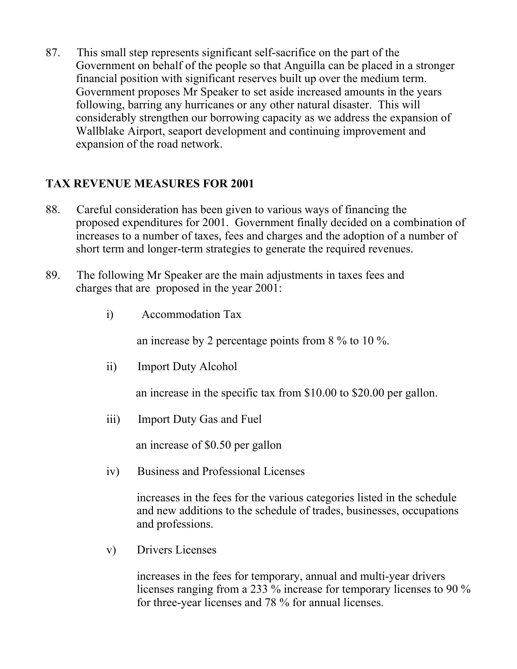87. This small step represents significant self-sacrifice on the part of the Government on behalf of the people so that Anguilla can be placed in a stronger financial position with significant reserves built up over the medium term. Government proposes Mr Speaker to set aside increased amounts in the years following, barring any hurricanes or any other natural disaster. This will considerably strengthen our borrowing capacity as we address the expansion of Wallblake Airport, seaport development and continuing improvement and expansion of the road network.

#### **TAX REVENUE MEASURES FOR 2001**

- 88. Careful consideration has been given to various ways of financing the proposed expenditures for 2001. Government finally decided on a combination of increases to a number of taxes, fees and charges and the adoption of a number of short term and longer-term strategies to generate the required revenues.
- 89. The following Mr Speaker are the main adjustments in taxes fees and charges that are proposed in the year 2001:
	- i) Accommodation Tax

an increase by 2 percentage points from 8 % to 10 %.

ii) Import Duty Alcohol

an increase in the specific tax from \$10.00 to \$20.00 per gallon.

iii) Import Duty Gas and Fuel

an increase of \$0.50 per gallon

iv) Business and Professional Licenses

increases in the fees for the various categories listed in the schedule and new additions to the schedule of trades, businesses, occupations and professions.

v) Drivers Licenses

increases in the fees for temporary, annual and multi-year drivers licenses ranging from a 233 % increase for temporary licenses to 90 % for three-year licenses and 78 % for annual licenses.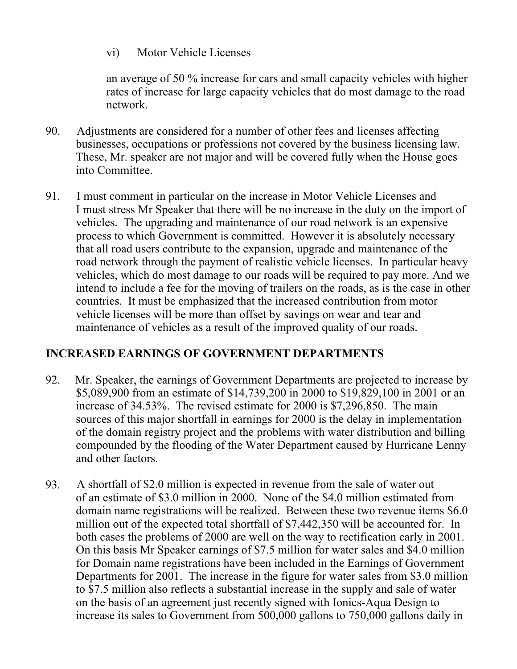vi) Motor Vehicle Licenses

an average of 50 % increase for cars and small capacity vehicles with higher rates of increase for large capacity vehicles that do most damage to the road network.

- 90. Adjustments are considered for a number of other fees and licenses affecting businesses, occupations or professions not covered by the business licensing law. These, Mr. speaker are not major and will be covered fully when the House goes into Committee.
- 91. I must comment in particular on the increase in Motor Vehicle Licenses and I must stress Mr Speaker that there will be no increase in the duty on the import of vehicles. The upgrading and maintenance of our road network is an expensive process to which Government is committed. However it is absolutely necessary that all road users contribute to the expansion, upgrade and maintenance of the road network through the payment of realistic vehicle licenses. In particular heavy vehicles, which do most damage to our roads will be required to pay more. And we intend to include a fee for the moving of trailers on the roads, as is the case in other countries. It must be emphasized that the increased contribution from motor vehicle licenses will be more than offset by savings on wear and tear and maintenance of vehicles as a result of the improved quality of our roads.

#### **INCREASED EARNINGS OF GOVERNMENT DEPARTMENTS**

- 92. Mr. Speaker, the earnings of Government Departments are projected to increase by \$5,089,900 from an estimate of \$14,739,200 in 2000 to \$19,829,100 in 2001 or an increase of 34.53%. The revised estimate for 2000 is \$7,296,850. The main sources of this major shortfall in earnings for 2000 is the delay in implementation of the domain registry project and the problems with water distribution and billing compounded by the flooding of the Water Department caused by Hurricane Lenny and other factors.
- 93. A shortfall of \$2.0 million is expected in revenue from the sale of water out of an estimate of \$3.0 million in 2000. None of the \$4.0 million estimated from domain name registrations will be realized. Between these two revenue items \$6.0 million out of the expected total shortfall of \$7,442,350 will be accounted for. In both cases the problems of 2000 are well on the way to rectification early in 2001. On this basis Mr Speaker earnings of \$7.5 million for water sales and \$4.0 million for Domain name registrations have been included in the Earnings of Government Departments for 2001. The increase in the figure for water sales from \$3.0 million to \$7.5 million also reflects a substantial increase in the supply and sale of water on the basis of an agreement just recently signed with Ionics-Aqua Design to increase its sales to Government from 500,000 gallons to 750,000 gallons daily in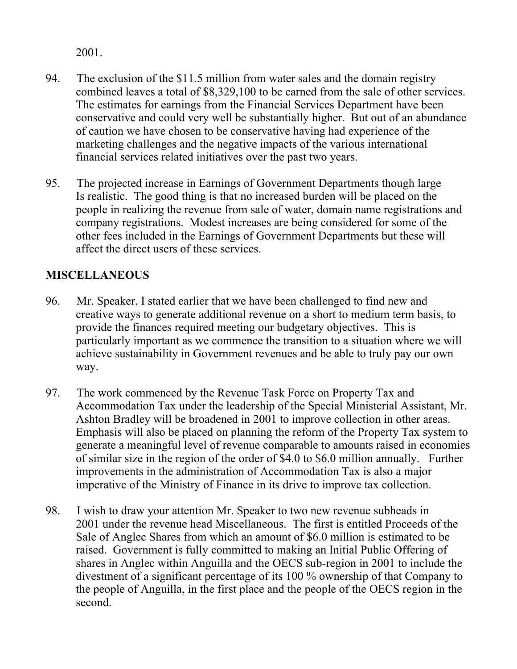2001.

- 94. The exclusion of the \$11.5 million from water sales and the domain registry combined leaves a total of \$8,329,100 to be earned from the sale of other services. The estimates for earnings from the Financial Services Department have been conservative and could very well be substantially higher. But out of an abundance of caution we have chosen to be conservative having had experience of the marketing challenges and the negative impacts of the various international financial services related initiatives over the past two years.
- 95. The projected increase in Earnings of Government Departments though large Is realistic. The good thing is that no increased burden will be placed on the people in realizing the revenue from sale of water, domain name registrations and company registrations. Modest increases are being considered for some of the other fees included in the Earnings of Government Departments but these will affect the direct users of these services.

### **MISCELLANEOUS**

- 96. Mr. Speaker, I stated earlier that we have been challenged to find new and creative ways to generate additional revenue on a short to medium term basis, to provide the finances required meeting our budgetary objectives. This is particularly important as we commence the transition to a situation where we will achieve sustainability in Government revenues and be able to truly pay our own way.
- 97. The work commenced by the Revenue Task Force on Property Tax and Accommodation Tax under the leadership of the Special Ministerial Assistant, Mr. Ashton Bradley will be broadened in 2001 to improve collection in other areas. Emphasis will also be placed on planning the reform of the Property Tax system to generate a meaningful level of revenue comparable to amounts raised in economies of similar size in the region of the order of \$4.0 to \$6.0 million annually. Further improvements in the administration of Accommodation Tax is also a major imperative of the Ministry of Finance in its drive to improve tax collection.
- 98. I wish to draw your attention Mr. Speaker to two new revenue subheads in 2001 under the revenue head Miscellaneous. The first is entitled Proceeds of the Sale of Anglec Shares from which an amount of \$6.0 million is estimated to be raised. Government is fully committed to making an Initial Public Offering of shares in Anglec within Anguilla and the OECS sub-region in 2001 to include the divestment of a significant percentage of its 100 % ownership of that Company to the people of Anguilla, in the first place and the people of the OECS region in the second.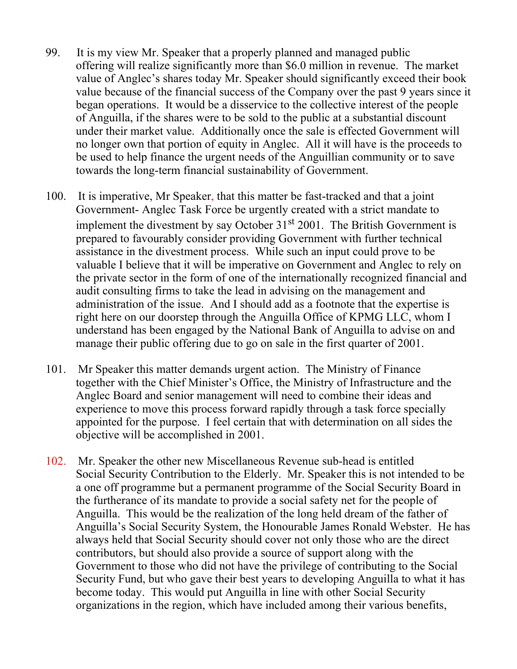- 99. It is my view Mr. Speaker that a properly planned and managed public offering will realize significantly more than \$6.0 million in revenue. The market value of Anglec's shares today Mr. Speaker should significantly exceed their book value because of the financial success of the Company over the past 9 years since it began operations. It would be a disservice to the collective interest of the people of Anguilla, if the shares were to be sold to the public at a substantial discount under their market value. Additionally once the sale is effected Government will no longer own that portion of equity in Anglec. All it will have is the proceeds to be used to help finance the urgent needs of the Anguillian community or to save towards the long-term financial sustainability of Government.
- 100. It is imperative, Mr Speaker, that this matter be fast-tracked and that a joint Government- Anglec Task Force be urgently created with a strict mandate to implement the divestment by say October  $31<sup>st</sup> 2001$ . The British Government is prepared to favourably consider providing Government with further technical assistance in the divestment process. While such an input could prove to be valuable I believe that it will be imperative on Government and Anglec to rely on the private sector in the form of one of the internationally recognized financial and audit consulting firms to take the lead in advising on the management and administration of the issue. And I should add as a footnote that the expertise is right here on our doorstep through the Anguilla Office of KPMG LLC, whom I understand has been engaged by the National Bank of Anguilla to advise on and manage their public offering due to go on sale in the first quarter of 2001.
- 101. Mr Speaker this matter demands urgent action. The Ministry of Finance together with the Chief Minister's Office, the Ministry of Infrastructure and the Anglec Board and senior management will need to combine their ideas and experience to move this process forward rapidly through a task force specially appointed for the purpose. I feel certain that with determination on all sides the objective will be accomplished in 2001.
- 102. Mr. Speaker the other new Miscellaneous Revenue sub-head is entitled Social Security Contribution to the Elderly. Mr. Speaker this is not intended to be a one off programme but a permanent programme of the Social Security Board in the furtherance of its mandate to provide a social safety net for the people of Anguilla. This would be the realization of the long held dream of the father of Anguilla's Social Security System, the Honourable James Ronald Webster. He has always held that Social Security should cover not only those who are the direct contributors, but should also provide a source of support along with the Government to those who did not have the privilege of contributing to the Social Security Fund, but who gave their best years to developing Anguilla to what it has become today. This would put Anguilla in line with other Social Security organizations in the region, which have included among their various benefits,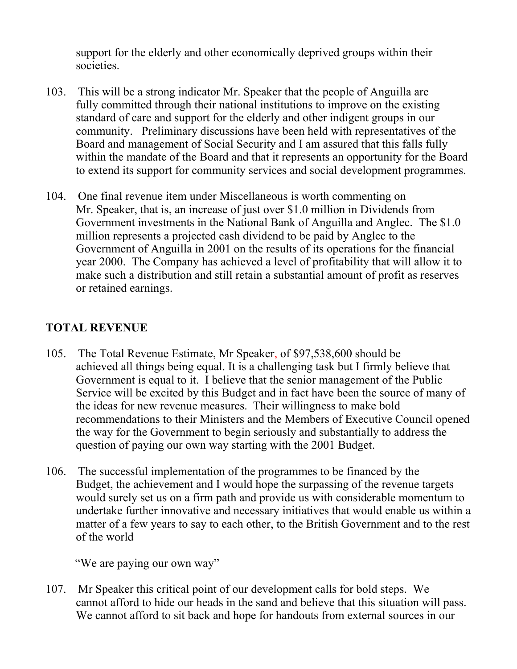support for the elderly and other economically deprived groups within their societies.

- 103. This will be a strong indicator Mr. Speaker that the people of Anguilla are fully committed through their national institutions to improve on the existing standard of care and support for the elderly and other indigent groups in our community. Preliminary discussions have been held with representatives of the Board and management of Social Security and I am assured that this falls fully within the mandate of the Board and that it represents an opportunity for the Board to extend its support for community services and social development programmes.
- 104. One final revenue item under Miscellaneous is worth commenting on Mr. Speaker, that is, an increase of just over \$1.0 million in Dividends from Government investments in the National Bank of Anguilla and Anglec. The \$1.0 million represents a projected cash dividend to be paid by Anglec to the Government of Anguilla in 2001 on the results of its operations for the financial year 2000. The Company has achieved a level of profitability that will allow it to make such a distribution and still retain a substantial amount of profit as reserves or retained earnings.

### **TOTAL REVENUE**

- 105. The Total Revenue Estimate, Mr Speaker, of \$97,538,600 should be achieved all things being equal. It is a challenging task but I firmly believe that Government is equal to it. I believe that the senior management of the Public Service will be excited by this Budget and in fact have been the source of many of the ideas for new revenue measures. Their willingness to make bold recommendations to their Ministers and the Members of Executive Council opened the way for the Government to begin seriously and substantially to address the question of paying our own way starting with the 2001 Budget.
- 106. The successful implementation of the programmes to be financed by the Budget, the achievement and I would hope the surpassing of the revenue targets would surely set us on a firm path and provide us with considerable momentum to undertake further innovative and necessary initiatives that would enable us within a matter of a few years to say to each other, to the British Government and to the rest of the world

"We are paying our own way"

107. Mr Speaker this critical point of our development calls for bold steps. We cannot afford to hide our heads in the sand and believe that this situation will pass. We cannot afford to sit back and hope for handouts from external sources in our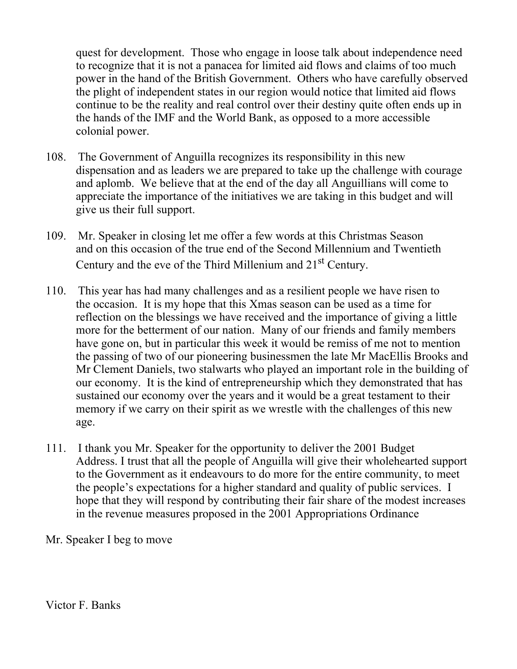quest for development. Those who engage in loose talk about independence need to recognize that it is not a panacea for limited aid flows and claims of too much power in the hand of the British Government. Others who have carefully observed the plight of independent states in our region would notice that limited aid flows continue to be the reality and real control over their destiny quite often ends up in the hands of the IMF and the World Bank, as opposed to a more accessible colonial power.

- 108. The Government of Anguilla recognizes its responsibility in this new dispensation and as leaders we are prepared to take up the challenge with courage and aplomb. We believe that at the end of the day all Anguillians will come to appreciate the importance of the initiatives we are taking in this budget and will give us their full support.
- 109. Mr. Speaker in closing let me offer a few words at this Christmas Season and on this occasion of the true end of the Second Millennium and Twentieth Century and the eve of the Third Millenium and 21<sup>st</sup> Century.
- 110. This year has had many challenges and as a resilient people we have risen to the occasion. It is my hope that this Xmas season can be used as a time for reflection on the blessings we have received and the importance of giving a little more for the betterment of our nation. Many of our friends and family members have gone on, but in particular this week it would be remiss of me not to mention the passing of two of our pioneering businessmen the late Mr MacEllis Brooks and Mr Clement Daniels, two stalwarts who played an important role in the building of our economy. It is the kind of entrepreneurship which they demonstrated that has sustained our economy over the years and it would be a great testament to their memory if we carry on their spirit as we wrestle with the challenges of this new age.
- 111. I thank you Mr. Speaker for the opportunity to deliver the 2001 Budget Address. I trust that all the people of Anguilla will give their wholehearted support to the Government as it endeavours to do more for the entire community, to meet the people's expectations for a higher standard and quality of public services. I hope that they will respond by contributing their fair share of the modest increases in the revenue measures proposed in the 2001 Appropriations Ordinance

Mr. Speaker I beg to move